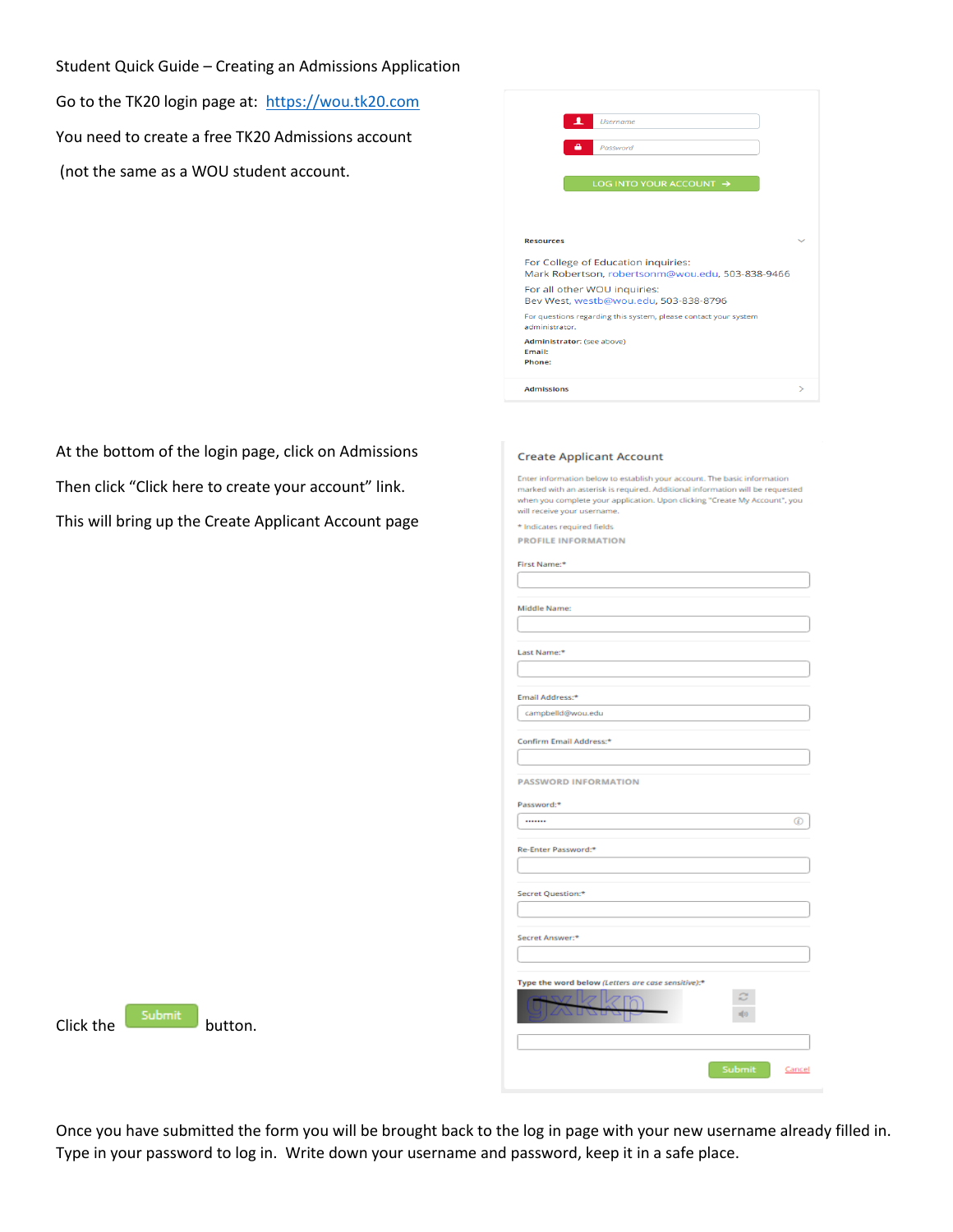Student Quick Guide – Creating an Admissions Application

Go to the TK20 login page at: [https://wou.tk20.com](https://wou.tk20.com/) You need to create a free TK20 Admissions account (not the same as a WOU student account.

| л<br><b>Username</b>                                                                    |   |
|-----------------------------------------------------------------------------------------|---|
| Password                                                                                |   |
| LOG INTO YOUR ACCOUNT →                                                                 |   |
|                                                                                         |   |
| <b>Resources</b>                                                                        |   |
| For College of Education inquiries:<br>Mark Robertson, robertsonm@wou.edu, 503-838-9466 |   |
| For all other WOU inquiries:<br>Bev West, westb@wou.edu, 503-838-8796                   |   |
| For questions regarding this system, please contact your system<br>administrator        |   |
| Administrator: (see above)<br>Email:<br>Phone:                                          |   |
| <b>Admissions</b>                                                                       | ゝ |

At the bottom of the login page, click on Admissions Then click "Click here to create your account" link. This will bring up the Create Applicant Account page

## **Create Applicant Account**

Enter information below to establish your account. The basic information<br>marked with an asterisk is required. Additional information will be requested when you complete your application. Upon clicking "Create My Account", you will receive your username.

\* Indicates required fields **PROFILE INFORMATION** 

| First Name:*                                       |        |        |
|----------------------------------------------------|--------|--------|
|                                                    |        |        |
|                                                    |        |        |
| <b>Middle Name:</b>                                |        |        |
|                                                    |        |        |
|                                                    |        |        |
| Last Name:*                                        |        |        |
|                                                    |        |        |
| Email Address:*                                    |        |        |
| campbelld@wou.edu                                  |        |        |
|                                                    |        |        |
| Confirm Email Address:*                            |        |        |
|                                                    |        |        |
|                                                    |        |        |
| <b>PASSWORD INFORMATION</b>                        |        |        |
| Password:*                                         |        |        |
|                                                    |        | ⊕      |
|                                                    |        |        |
| Re-Enter Password:*                                |        |        |
|                                                    |        |        |
|                                                    |        |        |
| Secret Question:*                                  |        |        |
|                                                    |        |        |
|                                                    |        |        |
| Secret Answer:*                                    |        |        |
|                                                    |        |        |
|                                                    |        |        |
| Type the word below (Letters are case sensitive):* |        |        |
|                                                    | s      |        |
| 7 N Z                                              | 中      |        |
|                                                    |        |        |
|                                                    |        |        |
|                                                    | Submit | Cancel |
|                                                    |        |        |

 $Click the$  submit button.

Once you have submitted the form you will be brought back to the log in page with your new username already filled in. Type in your password to log in. Write down your username and password, keep it in a safe place.